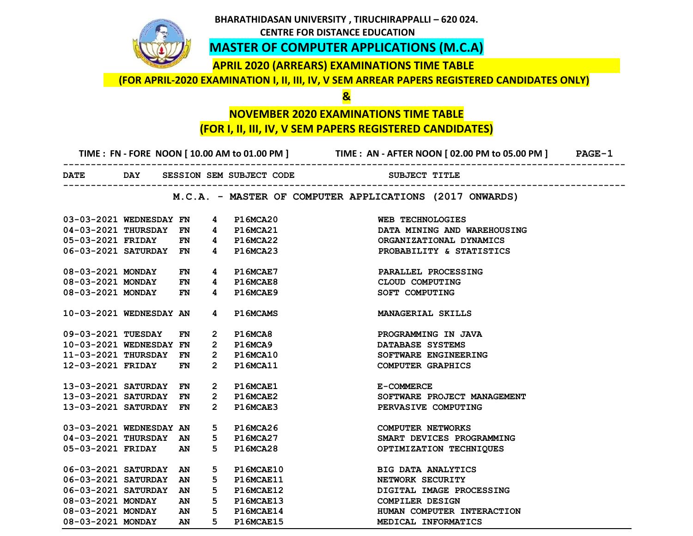## **BHARATHIDASAN UNIVERSITY , TIRUCHIRAPPALLI – 620 024. CENTRE FOR DISTANCE EDUCATION MASTER OF COMPUTER APPLICATIONS (M.C.A) APRIL 2020 (ARREARS) EXAMINATIONS TIME TABLE (FOR APRIL-2020 EXAMINATION I, II, III, IV, V SEM ARREAR PAPERS REGISTERED CANDIDATES ONLY) & NOVEMBER 2020 EXAMINATIONS TIME TABLE (FOR I, II, III, IV, V SEM PAPERS REGISTERED CANDIDATES) TIME : FN - FORE NOON [ 10.00 AM to 01.00 PM ] TIME : AN - AFTER NOON [ 02.00 PM to 05.00 PM ] PAGE-1 ------------------------------------------------------------------------------------------------------ DATE** DAY SESSION SEM SUBJECT CODE SUBJECT TITLE **------------------------------------------------------------------------------------------------------ M.C.A. - MASTER OF COMPUTER APPLICATIONS (2017 ONWARDS) 03-03-2021 WEDNESDAY FN 4 P16MCA20 WEB TECHNOLOGIES 04-03-2021 THURSDAY FN 4 P16MCA21 DATA MINING AND WAREHOUSING 05-03-2021 FRIDAY FN 4 P16MCA22 ORGANIZATIONAL DYNAMICS 06-03-2021 SATURDAY FN 4 P16MCA23 PROBABILITY & STATISTICS 08-03-2021 MONDAY FN 4 P16MCAE7 PARALLEL PROCESSING 08-03-2021 MONDAY FN 4 P16MCAE8 CLOUD COMPUTING 08-03-2021 MONDAY FN 4 P16MCAE9 SOFT COMPUTING 10-03-2021 WEDNESDAY AN 4 P16MCAMS MANAGERIAL SKILLS 09-03-2021 TUESDAY FN 2 P16MCA8 PROGRAMMING IN JAVA 10-03-2021 WEDNESDAY FN 2 P16MCA9 DATABASE SYSTEMS 11-03-2021 THURSDAY FN 2 P16MCA10 SOFTWARE ENGINEERING 12-03-2021 FRIDAY FN 2 P16MCA11 COMPUTER GRAPHICS 13-03-2021 SATURDAY FN 2 P16MCAE1 E-COMMERCE 13-03-2021 SATURDAY FN 2 P16MCAE2 SOFTWARE PROJECT MANAGEMENT 13-03-2021 SATURDAY FN 2 P16MCAE3 PERVASIVE COMPUTING 03-03-2021 WEDNESDAY AN 5 P16MCA26 COMPUTER NETWORKS 04-03-2021 THURSDAY AN 5 P16MCA27 SMART DEVICES PROGRAMMING 05-03-2021 FRIDAY AN 5 P16MCA28 OPTIMIZATION TECHNIQUES 06-03-2021 SATURDAY AN 5 P16MCAE10 BIG DATA ANALYTICS**  06-03-2021 SATURDAY AN 5 P16MCAE11 NETWORK SECURITY

**06-03-2021 SATURDAY AN 5 P16MCAE12 DIGITAL IMAGE PROCESSING** 

**08-03-2021 MONDAY AN 5 P16MCAE14 HUMAN COMPUTER INTERACTION** 

**08-03-2021 MONDAY AN 5 P16MCAE13 COMPILER DESIGN** 

**08-03-2021 MONDAY AN 5 P16MCAE15 MEDICAL INFORMATICS**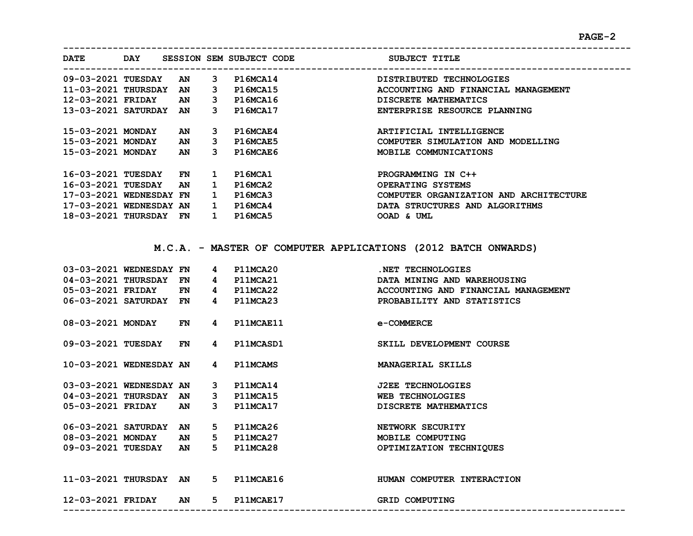**-------------------------------------------------------------------------------------------------------**

| <b>DATE</b>             | DAY |    |    | SESSION SEM SUBJECT CODE | SUBJECT TITLE                          |
|-------------------------|-----|----|----|--------------------------|----------------------------------------|
| 09-03-2021 TUESDAY      |     | AN | 3  | <b>P16MCA14</b>          | DISTRIBUTED TECHNOLOGIES               |
| 11-03-2021 THURSDAY     |     | AN | 3  | <b>P16MCA15</b>          | ACCOUNTING AND FINANCIAL MANAGEMENT    |
| 12-03-2021 FRIDAY       |     | AN | 3  | P16MCA16                 | DISCRETE MATHEMATICS                   |
| 13-03-2021 SATURDAY     |     | AN | 3  | <b>P16MCA17</b>          | ENTERPRISE RESOURCE PLANNING           |
| 15-03-2021 MONDAY       |     | AN | 3. | P16MCAE4                 | ARTIFICIAL INTELLIGENCE                |
| 15-03-2021 MONDAY       |     | AN | 3. | P16MCAE5                 | COMPUTER SIMULATION AND MODELLING      |
| 15-03-2021 MONDAY       |     | AN | 3. | P16MCAE6                 | MOBILE COMMUNICATIONS                  |
|                         |     |    |    |                          |                                        |
| 16-03-2021 TUESDAY      |     | FN | 1  | P16MCA1                  | PROGRAMMING IN C++                     |
| 16-03-2021 TUESDAY      |     | AN | 1. | P16MCA2                  | OPERATING SYSTEMS                      |
| 17-03-2021 WEDNESDAY FN |     |    | 1  | P16MCA3                  | COMPUTER ORGANIZATION AND ARCHITECTURE |
| 17-03-2021 WEDNESDAY AN |     |    | 1  | P16MCA4                  | DATA STRUCTURES AND ALGORITHMS         |
| 18-03-2021 THURSDAY     |     | FN | 1  | P16MCA5                  | OOAD & UML                             |

**M.C.A. - MASTER OF COMPUTER APPLICATIONS (2012 BATCH ONWARDS)**

| 03-03-2021 WEDNESDAY FN |           | 4              | P11MCA20        | .NET TECHNOLOGIES                   |
|-------------------------|-----------|----------------|-----------------|-------------------------------------|
| 04-03-2021 THURSDAY     | FN        | 4              | P11MCA21        | DATA MINING AND WAREHOUSING         |
| 05-03-2021 FRIDAY       | <b>FN</b> |                | 4 P11MCA22      | ACCOUNTING AND FINANCIAL MANAGEMENT |
| 06-03-2021 SATURDAY     | <b>FN</b> | 4              | P11MCA23        | PROBABILITY AND STATISTICS          |
|                         |           |                |                 |                                     |
| 08-03-2021 MONDAY       | FN        | 4              | P11MCAE11       | e-COMMERCE                          |
|                         |           |                |                 |                                     |
| 09-03-2021 TUESDAY      | FN        | 4              | P11MCASD1       | SKILL DEVELOPMENT COURSE            |
|                         |           |                |                 |                                     |
| 10-03-2021 WEDNESDAY AN |           | 4              | <b>P11MCAMS</b> | MANAGERIAL SKILLS                   |
|                         |           |                |                 |                                     |
| 03-03-2021 WEDNESDAY AN |           |                | 3 P11MCA14      | <b>J2EE TECHNOLOGIES</b>            |
| 04-03-2021 THURSDAY AN  |           |                | 3 P11MCA15      | <b>WEB TECHNOLOGIES</b>             |
| 05-03-2021 FRIDAY       | AN        | $\mathbf{3}$   | P11MCA17        | DISCRETE MATHEMATICS                |
|                         |           |                |                 |                                     |
| 06-03-2021 SATURDAY     | AN        | $5 -$          | P11MCA26        | NETWORK SECURITY                    |
| 08-03-2021 MONDAY       | AN        | 5              | P11MCA27        | MOBILE COMPUTING                    |
| 09-03-2021 TUESDAY      | AN        | $5 -$          | P11MCA28        | OPTIMIZATION TECHNIQUES             |
|                         |           |                |                 |                                     |
|                         |           |                |                 |                                     |
| 11-03-2021 THURSDAY     | <b>AN</b> | 5 <sub>1</sub> | P11MCAE16       | HUMAN COMPUTER INTERACTION          |
|                         |           |                |                 |                                     |
| 12-03-2021 FRIDAY       | AN        | 5 <sub>1</sub> | P11MCAE17       | <b>GRID COMPUTING</b>               |
|                         |           |                |                 |                                     |